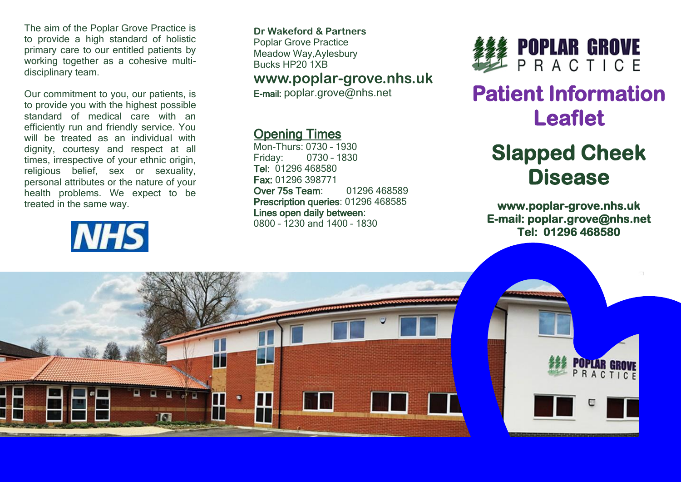The aim of the Poplar Grove Practice is to provide a high standard of holistic primary care to our entitled patients by working together as a cohesive multidisciplinary team.

Our commitment to you, our patients, is to provide you with the highest possible standard of medical care with an efficiently run and friendly service. You will be treated as an individual with dignity, courtesy and respect at all times, irrespective of your ethnic origin, religious belief, sex or sexuality, personal attributes or the nature of your health problems. We expect to be treated in the same way.

# **NHS**

**Dr Wakeford & Partners** Poplar Grove Practice Meadow Way,Aylesbury Bucks HP20 1XB

#### **www.poplar-grove.nhs.uk**

E-mail: [poplar.grove@nhs.net](mailto:poplar.grove@nhs.net)

#### Opening Times

Mon-Thurs: 0730 – 1930 Friday: 0730 – 1830 Tel: 01296 468580 Fax: 01296 398771 Over 75s Team: 01296 468589 Prescription queries: 01296 468585 Lines open daily between: 0800 – 1230 and 1400 – 1830



## **Patient Information Leaflet**

### **Slapped Cheek Disease**

**www.poplar-grove.nhs.uk E-mail: poplar.grove@nhs.net Tel: 01296 468580**